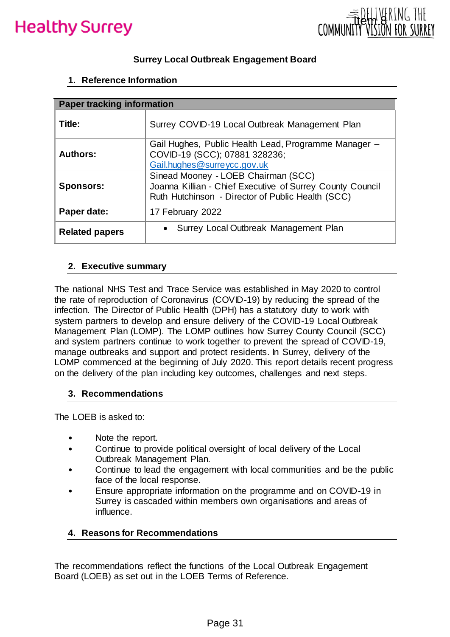



## **Surrey Local Outbreak Engagement Board**

#### **1. Reference Information**

| thy Surrey                                                                                                                              | $B_{11}$<br>ltem<br>COMM                                                                                                                                                                                                                                                                                                                                                                                                                                                                                |  |  |  |  |  |  |
|-----------------------------------------------------------------------------------------------------------------------------------------|---------------------------------------------------------------------------------------------------------------------------------------------------------------------------------------------------------------------------------------------------------------------------------------------------------------------------------------------------------------------------------------------------------------------------------------------------------------------------------------------------------|--|--|--|--|--|--|
|                                                                                                                                         | <b>Surrey Local Outbreak Engagement Board</b>                                                                                                                                                                                                                                                                                                                                                                                                                                                           |  |  |  |  |  |  |
| 1. Reference Information                                                                                                                |                                                                                                                                                                                                                                                                                                                                                                                                                                                                                                         |  |  |  |  |  |  |
| <b>Paper tracking information</b>                                                                                                       |                                                                                                                                                                                                                                                                                                                                                                                                                                                                                                         |  |  |  |  |  |  |
| Title:                                                                                                                                  | Surrey COVID-19 Local Outbreak Management Plan                                                                                                                                                                                                                                                                                                                                                                                                                                                          |  |  |  |  |  |  |
| Gail Hughes, Public Health Lead, Programme Manager -<br><b>Authors:</b><br>COVID-19 (SCC); 07881 328236;<br>Gail.hughes@surreycc.gov.uk |                                                                                                                                                                                                                                                                                                                                                                                                                                                                                                         |  |  |  |  |  |  |
| <b>Sponsors:</b>                                                                                                                        | Sinead Mooney - LOEB Chairman (SCC)<br>Joanna Killian - Chief Executive of Surrey County Council<br>Ruth Hutchinson - Director of Public Health (SCC)                                                                                                                                                                                                                                                                                                                                                   |  |  |  |  |  |  |
| Paper date:                                                                                                                             | 17 February 2022                                                                                                                                                                                                                                                                                                                                                                                                                                                                                        |  |  |  |  |  |  |
| <b>Related papers</b>                                                                                                                   | Surrey Local Outbreak Management Plan                                                                                                                                                                                                                                                                                                                                                                                                                                                                   |  |  |  |  |  |  |
| 3. Recommendations                                                                                                                      | system partners to develop and ensure delivery of the COVID-19 Local Outbreak<br>Management Plan (LOMP). The LOMP outlines how Surrey County Council (SCC)<br>and system partners continue to work together to prevent the spread of COVID-19,<br>manage outbreaks and support and protect residents. In Surrey, delivery of the<br>LOMP commenced at the beginning of July 2020. This report details recent progress<br>on the delivery of the plan including key outcomes, challenges and next steps. |  |  |  |  |  |  |
| The LOEB is asked to:                                                                                                                   |                                                                                                                                                                                                                                                                                                                                                                                                                                                                                                         |  |  |  |  |  |  |
| Note the report.<br>influence.<br>4. Reasons for Recommendations                                                                        | Continue to provide political oversight of local delivery of the Local<br>Outbreak Management Plan.<br>Continue to lead the engagement with local communities and be the public<br>face of the local response.<br>Ensure appropriate information on the programme and on COVID-19 in<br>Surrey is cascaded within members own organisations and areas of                                                                                                                                                |  |  |  |  |  |  |
|                                                                                                                                         |                                                                                                                                                                                                                                                                                                                                                                                                                                                                                                         |  |  |  |  |  |  |
|                                                                                                                                         | The recommendations reflect the functions of the Local Outbreak Engagement<br>Board (LOEB) as set out in the LOEB Terms of Reference.                                                                                                                                                                                                                                                                                                                                                                   |  |  |  |  |  |  |
|                                                                                                                                         | Page 31                                                                                                                                                                                                                                                                                                                                                                                                                                                                                                 |  |  |  |  |  |  |

#### **2. Executive summary**

#### **3. Recommendations**

- Note the report.
- Continue to provide political oversight of local delivery of the Local Outbreak Management Plan.
- Continue to lead the engagement with local communities and be the public face of the local response.
- Ensure appropriate information on the programme and on COVID-19 in Surrey is cascaded within members own organisations and areas of influence.

#### **4. Reasons for Recommendations**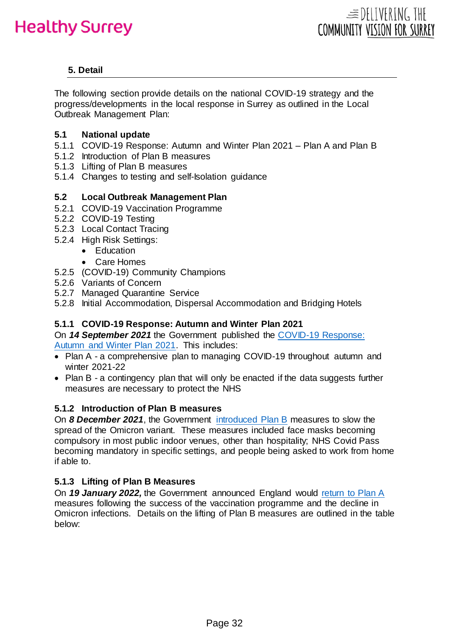# **5. Detail**

The following section provide details on the national COVID-19 strategy and the progress/developments in the local response in Surrey as outlined in the Local Outbreak Management Plan:

## **5.1 National update**

- 5.1.1 COVID-19 Response: Autumn and Winter Plan 2021 Plan A and Plan B
- 5.1.2 Introduction of Plan B measures
- 5.1.3 Lifting of Plan B measures
- 5.1.4 Changes to testing and self-Isolation guidance

# **5.2 Local Outbreak Management Plan**

- 5.2.1 COVID-19 Vaccination Programme
- 5.2.2 COVID-19 Testing
- 5.2.3 Local Contact Tracing
- 5.2.4 High Risk Settings:
	- Education
	- Care Homes
- 5.2.5 (COVID-19) Community Champions
- 5.2.6 Variants of Concern
- 5.2.7 Managed Quarantine Service
- 5.2.8 Initial Accommodation, Dispersal Accommodation and Bridging Hotels

# **5.1.1 COVID-19 Response: Autumn and Winter Plan 2021**

On *14 September 2021* the Government published the [COVID-19 Response:](https://www.gov.uk/government/publications/covid-19-response-autumn-and-winter-plan-2021)  [Autumn and Winter Plan 2021.](https://www.gov.uk/government/publications/covid-19-response-autumn-and-winter-plan-2021) This includes:

- Plan A a comprehensive plan to managing COVID-19 throughout autumn and winter 2021-22
- Plan B a contingency plan that will only be enacted if the data suggests further measures are necessary to protect the NHS

# **5.1.2 Introduction of Plan B measures**

On *8 December 2021*, the Government [introduced Plan B](https://www.gov.uk/government/news/prime-minister-confirms-move-to-plan-b-in-england) measures to slow the spread of the Omicron variant. These measures included face masks becoming compulsory in most public indoor venues, other than hospitality; NHS Covid Pass becoming mandatory in specific settings, and people being asked to work from home if able to.

# **5.1.3 Lifting of Plan B Measures**

On *19 January 2022,* the Government announced England would [return to Plan A](https://www.gov.uk/government/news/england-to-return-to-plan-a-following-the-success-of-the-booster-programme) measures following the success of the vaccination programme and the decline in Omicron infections. Details on the lifting of Plan B measures are outlined in the table below: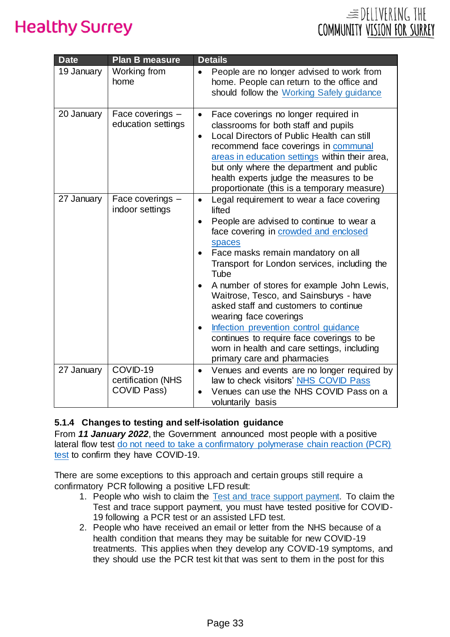|                             | $\equiv$ DELIVERING THE |  |
|-----------------------------|-------------------------|--|
| COMMUNITY VISION FOR SURREY |                         |  |

| <b>Date</b> | <b>Plan B measure</b>                         | <b>Details</b>                                                                                                                                                                                                                                                                                                                                                                                                                                                                                                                                                                                                         |
|-------------|-----------------------------------------------|------------------------------------------------------------------------------------------------------------------------------------------------------------------------------------------------------------------------------------------------------------------------------------------------------------------------------------------------------------------------------------------------------------------------------------------------------------------------------------------------------------------------------------------------------------------------------------------------------------------------|
| 19 January  | Working from<br>home                          | People are no longer advised to work from<br>home. People can return to the office and<br>should follow the Working Safely guidance                                                                                                                                                                                                                                                                                                                                                                                                                                                                                    |
| 20 January  | Face coverings -<br>education settings        | Face coverings no longer required in<br>$\bullet$<br>classrooms for both staff and pupils<br>Local Directors of Public Health can still<br>$\bullet$<br>recommend face coverings in communal<br>areas in education settings within their area,<br>but only where the department and public<br>health experts judge the measures to be<br>proportionate (this is a temporary measure)                                                                                                                                                                                                                                   |
| 27 January  | Face coverings -<br>indoor settings           | Legal requirement to wear a face covering<br>$\bullet$<br>lifted<br>People are advised to continue to wear a<br>$\bullet$<br>face covering in crowded and enclosed<br>spaces<br>Face masks remain mandatory on all<br>Transport for London services, including the<br>Tube<br>A number of stores for example John Lewis,<br>$\bullet$<br>Waitrose, Tesco, and Sainsburys - have<br>asked staff and customers to continue<br>wearing face coverings<br>Infection prevention control guidance<br>continues to require face coverings to be<br>worn in health and care settings, including<br>primary care and pharmacies |
| 27 January  | COVID-19<br>certification (NHS<br>COVID Pass) | Venues and events are no longer required by<br>$\bullet$<br>law to check visitors' NHS COVID Pass<br>Venues can use the NHS COVID Pass on a<br>$\bullet$<br>voluntarily basis                                                                                                                                                                                                                                                                                                                                                                                                                                          |

## **5.1.4 Changes to testing and self-isolation guidance**

From *11 January 2022*, the Government announced most people with a positive lateral flow test [do not need to take a confirmatory polymerase chain reaction \(PCR\)](https://www.gov.uk/government/news/people-with-a-positive-lateral-flow-test-no-longer-required-to-take-confirmatory-pcr-test)  [test](https://www.gov.uk/government/news/people-with-a-positive-lateral-flow-test-no-longer-required-to-take-confirmatory-pcr-test) to confirm they have COVID-19.

There are some exceptions to this approach and certain groups still require a confirmatory PCR following a positive LFD result:

- 1. People who wish to claim the [Test and trace support payment.](https://www.gov.uk/government/publications/test-and-trace-support-payment-scheme-claiming-financial-support/claiming-financial-support-under-the-test-and-trace-support-payment-scheme) To claim the Test and trace support payment, you must have tested positive for COVID-19 following a PCR test or an assisted LFD test.
- 2. People who have received an email or letter from the NHS because of a health condition that means they may be suitable for new COVID-19 treatments. This applies when they develop any COVID-19 symptoms, and they should use the PCR test kit that was sent to them in the post for this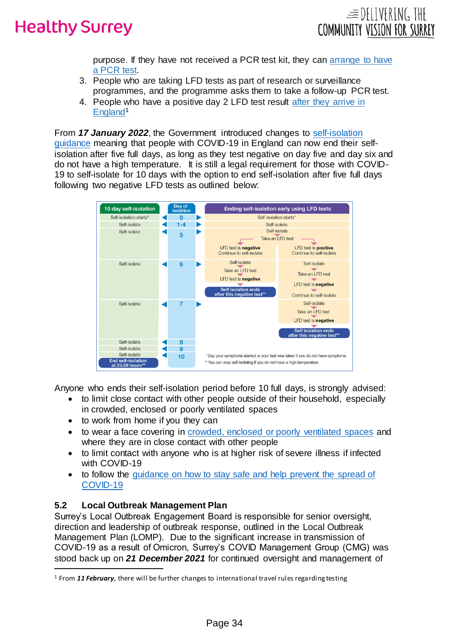



purpose. If they have not received a PCR test kit, they can arrange [to have](https://www.gov.uk/get-coronavirus-test)  a [PCR](https://www.gov.uk/get-coronavirus-test) test.

- 3. People who are taking LFD tests as part of research or surveillance programmes, and the programme asks them to take a follow-up PCR test.
- 4. People who have a positive day 2 LFD test result [after they arrive in](https://www.gov.uk/guidance/travel-to-england-from-another-country-during-coronavirus-covid-19)  [England](https://www.gov.uk/guidance/travel-to-england-from-another-country-during-coronavirus-covid-19)<sup>1</sup>

From *17 January 2022*, the Government introduced changes to [self-isolation](https://www.gov.uk/government/publications/covid-19-stay-at-home-guidance/stay-at-home-guidance-for-households-with-possible-coronavirus-covid-19-infection)  [guidance](https://www.gov.uk/government/publications/covid-19-stay-at-home-guidance/stay-at-home-guidance-for-households-with-possible-coronavirus-covid-19-infection) meaning that people with COVID-19 in England can now end their selfisolation after five full days, as long as they test negative on day five and day six and do not have a high temperature. It is still a legal requirement for those with COVID-19 to self-isolate for 10 days with the option to end self-isolation after five full days following two negative LFD tests as outlined below:



Anyone who ends their self-isolation period before 10 full days, is strongly advised:

- to limit close contact with other people outside of their household, especially in crowded, enclosed or poorly ventilated spaces
- to work from home if you they can
- to wear a face covering in [crowded, enclosed or poorly ventilated spaces](https://www.gov.uk/government/publications/face-coverings-when-to-wear-one-and-how-to-make-your-own/face-coverings-when-to-wear-one-and-how-to-make-your-own) and where they are in close contact with other people
- to limit contact with anyone who is at higher risk of severe illness if infected with COVID-19
- to follow the guidance on how to stay safe and help prevent the spread of [COVID-19](https://www.gov.uk/guidance/covid-19-coronavirus-restrictions-what-you-can-and-cannot-do)

## **5.2 Local Outbreak Management Plan**

 $\overline{a}$ 

Surrey's Local Outbreak Engagement Board is responsible for senior oversight, direction and leadership of outbreak response, outlined in the Local Outbreak Management Plan (LOMP). Due to the significant increase in transmission of COVID-19 as a result of Omicron, Surrey's COVID Management Group (CMG) was stood back up on *21 December 2021* for continued oversight and management of

<sup>1</sup> From *11 February*, there will be further changes to international travel rules regarding testing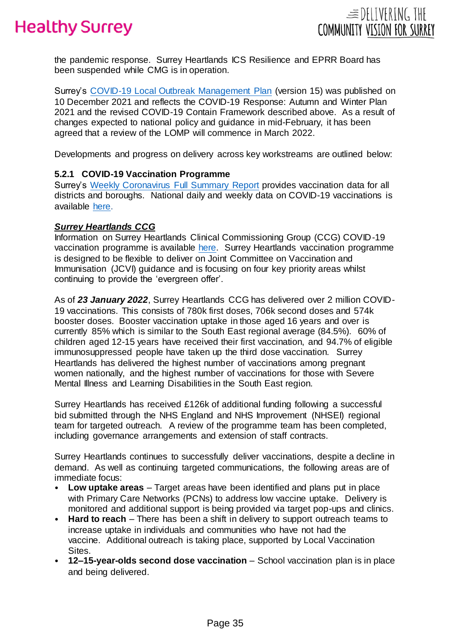



the pandemic response. Surrey Heartlands ICS Resilience and EPRR Board has been suspended while CMG is in operation.

Surrey's [COVID-19 Local Outbreak Management Plan](https://www.surreycc.gov.uk/people-and-community/emergency-planning-and-community-safety/coronavirus/local-outbreak-plan) (version 15) was published on 10 December 2021 and reflects the COVID-19 Response: Autumn and Winter Plan 2021 and the revised COVID-19 Contain Framework described above. As a result of changes expected to national policy and guidance in mid-February, it has been agreed that a review of the LOMP will commence in March 2022.

Developments and progress on delivery across key workstreams are outlined below:

#### **5.2.1 COVID-19 Vaccination Programme**

Surrey's [Weekly Coronavirus Full Summary Report](https://www.surreycc.gov.uk/people-and-community/emergency-planning-and-community-safety/coronavirus/alert-levels-and-local-outbreak-plan/figures-and-statistics) provides vaccination data for all districts and boroughs. National daily and weekly data on COVID-19 vaccinations is available [here.](https://www.england.nhs.uk/statistics/statistical-work-areas/covid-19-vaccinations/)

#### *Surrey Heartlands CCG*

Information on Surrey Heartlands Clinical Commissioning Group (CCG) COVID-19 vaccination programme is available [here.](https://www.surreyheartlandsccg.nhs.uk/covid-19/covid-19-vaccination-programme) Surrey Heartlands vaccination programme is designed to be flexible to deliver on Joint Committee on Vaccination and Immunisation (JCVI) guidance and is focusing on four key priority areas whilst continuing to provide the 'evergreen offer'.

As of *23 January 2022*, Surrey Heartlands CCG has delivered over 2 million COVID-19 vaccinations. This consists of 780k first doses, 706k second doses and 574k booster doses. Booster vaccination uptake in those aged 16 years and over is currently 85% which is similar to the South East regional average (84.5%). 60% of children aged 12-15 years have received their first vaccination, and 94.7% of eligible immunosuppressed people have taken up the third dose vaccination. Surrey Heartlands has delivered the highest number of vaccinations among pregnant women nationally, and the highest number of vaccinations for those with Severe Mental Illness and Learning Disabilities in the South East region.

Surrey Heartlands has received £126k of additional funding following a successful bid submitted through the NHS England and NHS Improvement (NHSEI) regional team for targeted outreach. A review of the programme team has been completed, including governance arrangements and extension of staff contracts.

Surrey Heartlands continues to successfully deliver vaccinations, despite a decline in demand. As well as continuing targeted communications, the following areas are of immediate focus:

- **Low uptake areas**  Target areas have been identified and plans put in place with Primary Care Networks (PCNs) to address low vaccine uptake. Delivery is monitored and additional support is being provided via target pop-ups and clinics.
- **Hard to reach** There has been a shift in delivery to support outreach teams to increase uptake in individuals and communities who have not had the vaccine. Additional outreach is taking place, supported by Local Vaccination Sites.
- **12–15-year-olds second dose vaccination**  School vaccination plan is in place and being delivered.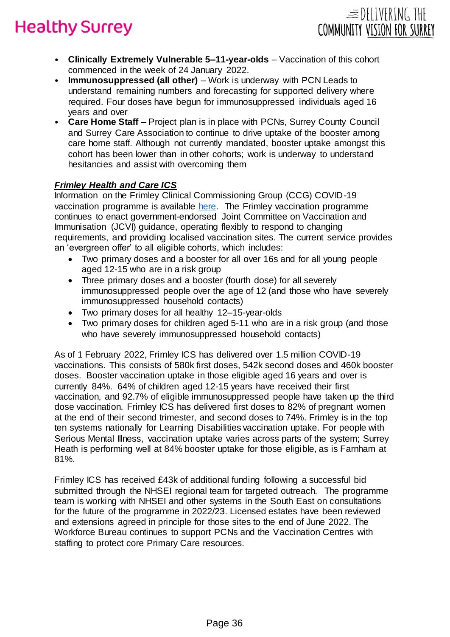• **Clinically Extremely Vulnerable 5–11-year-olds** – Vaccination of this cohort commenced in the week of 24 January 2022.

 $\equiv$ DELIVERING THE

COMMUNITY VISION FOR SURREY

- **Immunosuppressed (all other)**  Work is underway with PCN Leads to understand remaining numbers and forecasting for supported delivery where required. Four doses have begun for immunosuppressed individuals aged 16 years and over
- Care Home Staff Project plan is in place with PCNs, Surrey County Council and Surrey Care Association to continue to drive uptake of the booster among care home staff. Although not currently mandated, booster uptake amongst this cohort has been lower than in other cohorts; work is underway to understand hesitancies and assist with overcoming them

# *Frimley Health and Care ICS*

Information on the Frimley Clinical Commissioning Group (CCG) COVID-19 vaccination programme is available [here.](https://www.frimleyhealthandcare.org.uk/living-here/covid-19-vaccination/) The Frimley vaccination programme continues to enact government-endorsed Joint Committee on Vaccination and Immunisation (JCVI) guidance, operating flexibly to respond to changing requirements, and providing localised vaccination sites. The current service provides an 'evergreen offer' to all eligible cohorts, which includes:

- Two primary doses and a booster for all over 16s and for all young people aged 12-15 who are in a risk group
- Three primary doses and a booster (fourth dose) for all severely immunosuppressed people over the age of 12 (and those who have severely immunosuppressed household contacts)
- Two primary doses for all healthy 12–15-year-olds
- Two primary doses for children aged 5-11 who are in a risk group (and those who have severely immunosuppressed household contacts)

As of 1 February 2022, Frimley ICS has delivered over 1.5 million COVID-19 vaccinations. This consists of 580k first doses, 542k second doses and 460k booster doses. Booster vaccination uptake in those eligible aged 16 years and over is currently 84%. 64% of children aged 12-15 years have received their first vaccination, and 92.7% of eligible immunosuppressed people have taken up the third dose vaccination. Frimley ICS has delivered first doses to 82% of pregnant women at the end of their second trimester, and second doses to 74%. Frimley is in the top ten systems nationally for Learning Disabilities vaccination uptake. For people with Serious Mental Illness, vaccination uptake varies across parts of the system; Surrey Heath is performing well at 84% booster uptake for those eligible, as is Farnham at 81%.

Frimley ICS has received £43k of additional funding following a successful bid submitted through the NHSEI regional team for targeted outreach. The programme team is working with NHSEI and other systems in the South East on consultations for the future of the programme in 2022/23. Licensed estates have been reviewed and extensions agreed in principle for those sites to the end of June 2022. The Workforce Bureau continues to support PCNs and the Vaccination Centres with staffing to protect core Primary Care resources.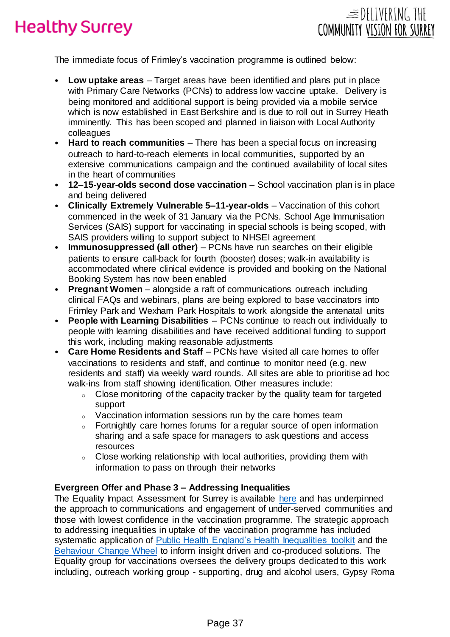

The immediate focus of Frimley's vaccination programme is outlined below:

- **Low uptake areas**  Target areas have been identified and plans put in place with Primary Care Networks (PCNs) to address low vaccine uptake. Delivery is being monitored and additional support is being provided via a mobile service which is now established in East Berkshire and is due to roll out in Surrey Heath imminently. This has been scoped and planned in liaison with Local Authority colleagues
- **Hard to reach communities**  There has been a special focus on increasing outreach to hard-to-reach elements in local communities, supported by an extensive communications campaign and the continued availability of local sites in the heart of communities
- **12–15-year-olds second dose vaccination**  School vaccination plan is in place and being delivered
- **Clinically Extremely Vulnerable 5–11-year-olds**  Vaccination of this cohort commenced in the week of 31 January via the PCNs. School Age Immunisation Services (SAIS) support for vaccinating in special schools is being scoped, with SAIS providers willing to support subject to NHSEI agreement
- **Immunosuppressed (all other)** PCNs have run searches on their eligible patients to ensure call-back for fourth (booster) doses; walk-in availability is accommodated where clinical evidence is provided and booking on the National Booking System has now been enabled
- **Pregnant Women** alongside a raft of communications outreach including clinical FAQs and webinars, plans are being explored to base vaccinators into Frimley Park and Wexham Park Hospitals to work alongside the antenatal units
- **People with Learning Disabilities** PCNs continue to reach out individually to people with learning disabilities and have received additional funding to support this work, including making reasonable adjustments
- **Care Home Residents and Staff**  PCNs have visited all care homes to offer vaccinations to residents and staff, and continue to monitor need (e.g. new residents and staff) via weekly ward rounds. All sites are able to prioritise ad hoc walk-ins from staff showing identification. Other measures include:
	- <sup>o</sup> Close monitoring of the capacity tracker by the quality team for targeted support
	- <sup>o</sup> Vaccination information sessions run by the care homes team
	- Fortnightly care homes forums for a regular source of open information sharing and a safe space for managers to ask questions and access resources
	- $\circ$  Close working relationship with local authorities, providing them with information to pass on through their networks

## **Evergreen Offer and Phase 3 – Addressing Inequalities**

The Equality Impact Assessment for Surrey is available [here](https://www.surreyheartlandsccg.nhs.uk/documents/documents/your-health/coronavirus-covid-19/754-210924-covid-19-vaccination-programme-phase-three-equality-health-impact-assessment-surreycc/file) and has underpinned the approach to communications and engagement of under-served communities and those with lowest confidence in the vaccination programme. The strategic approach to addressing inequalities in uptake of the vaccination programme has included systematic application of [Public Health England's Health Inequalities toolkit](https://fingertips.phe.org.uk/profile/inequality-tools) and the [Behaviour Change Wheel](https://www.gov.uk/government/publications/behaviour-change-guide-for-local-government-and-partners) to inform insight driven and co-produced solutions. The Equality group for vaccinations oversees the delivery groups dedicated to this work including, outreach working group - supporting, drug and alcohol users, Gypsy Roma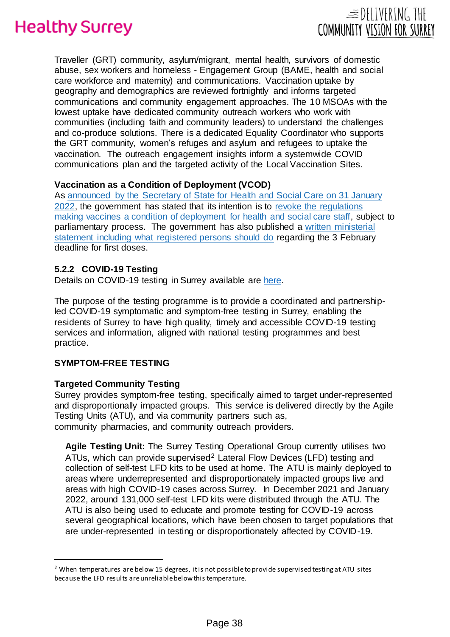

 $\equiv$  DELIVERING THE

COMMUNITY VISION FOR SURREY

### **Vaccination as a Condition of Deployment (VCOD)**

As [announced by the Secretary of State for Health and Social Care on 31 January](https://www.gov.uk/government/speeches/oral-statement-on-vaccines-as-a-condition-of-deployment)  [2022,](https://www.gov.uk/government/speeches/oral-statement-on-vaccines-as-a-condition-of-deployment) the government has stated that its intention is to [revoke the regulations](https://www.gov.uk/government/news/consultation-on-removing-vaccination-as-a-condition-of-deployment-for-health-and-social-care-staff)  [making vaccines a condition of deployment for health and social care staff,](https://www.gov.uk/government/news/consultation-on-removing-vaccination-as-a-condition-of-deployment-for-health-and-social-care-staff) subject to parliamentary process. The government has also published a [written ministerial](https://questions-statements.parliament.uk/written-statements/detail/2022-02-03/hcws587)  [statement including what registered persons should do](https://questions-statements.parliament.uk/written-statements/detail/2022-02-03/hcws587) regarding the 3 February deadline for first doses.

#### **5.2.2 COVID-19 Testing**

Details on COVID-19 testing in Surrey available are [here.](https://www.surreycc.gov.uk/people-and-community/emergency-planning-and-community-safety/coronavirus/testing/symptom-free/home-delivery-and-collection)

The purpose of the testing programme is to provide a coordinated and partnershipled COVID-19 symptomatic and symptom-free testing in Surrey, enabling the residents of Surrey to have high quality, timely and accessible COVID-19 testing services and information, aligned with national testing programmes and best practice.

#### **SYMPTOM-FREE TESTING**

 $\overline{a}$ 

#### **Targeted Community Testing**

Surrey provides symptom-free testing, specifically aimed to target under-represented and disproportionally impacted groups. This service is delivered directly by the Agile Testing Units (ATU), and via community partners such as, community pharmacies, and community outreach providers.

**Agile Testing Unit:** The Surrey Testing Operational Group currently utilises two ATUs, which can provide supervised<sup>2</sup> Lateral Flow Devices (LFD) testing and collection of self-test LFD kits to be used at home. The ATU is mainly deployed to areas where underrepresented and disproportionately impacted groups live and areas with high COVID-19 cases across Surrey. In December 2021 and January 2022, around 131,000 self-test LFD kits were distributed through the ATU. The ATU is also being used to educate and promote testing for COVID-19 across several geographical locations, which have been chosen to target populations that are under-represented in testing or disproportionately affected by COVID-19.

 $2$  When temperatures are below 15 degrees, it is not possible to provide supervised testing at ATU sites because the LFD results are unreliable below this temperature.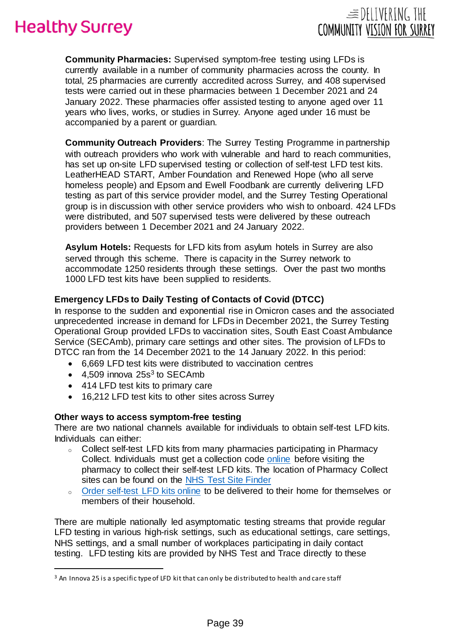**Community Pharmacies:** Supervised symptom-free testing using LFDs is currently available in a number of community pharmacies across the county. In total, 25 pharmacies are currently accredited across Surrey, and 408 supervised tests were carried out in these pharmacies between 1 December 2021 and 24 January 2022. These pharmacies offer assisted testing to anyone aged over 11 years who lives, works, or studies in Surrey. Anyone aged under 16 must be accompanied by a parent or guardian.

 $\equiv$  DELIVERING THE

COMMUNITY VISION FOR SURREY

**Community Outreach Providers**: The Surrey Testing Programme in partnership with outreach providers who work with vulnerable and hard to reach communities, has set up on-site LFD supervised testing or collection of self-test LFD test kits. LeatherHEAD START, Amber Foundation and Renewed Hope (who all serve homeless people) and Epsom and Ewell Foodbank are currently delivering LFD testing as part of this service provider model, and the Surrey Testing Operational group is in discussion with other service providers who wish to onboard. 424 LFDs were distributed, and 507 supervised tests were delivered by these outreach providers between 1 December 2021 and 24 January 2022.

**Asylum Hotels:** Requests for LFD kits from asylum hotels in Surrey are also served through this scheme. There is capacity in the Surrey network to accommodate 1250 residents through these settings. Over the past two months 1000 LFD test kits have been supplied to residents.

## **Emergency LFDs to Daily Testing of Contacts of Covid (DTCC)**

In response to the sudden and exponential rise in Omicron cases and the associated unprecedented increase in demand for LFDs in December 2021, the Surrey Testing Operational Group provided LFDs to vaccination sites, South East Coast Ambulance Service (SECAmb), primary care settings and other sites. The provision of LFDs to DTCC ran from the 14 December 2021 to the 14 January 2022. In this period:

- 6,669 LFD test kits were distributed to vaccination centres
- $\bullet$  4,509 innova 25s<sup>3</sup> to SECAmb

 $\overline{a}$ 

- 414 LFD test kits to primary care
- 16,212 LFD test kits to other sites across Surrey

#### **Other ways to access symptom-free testing**

There are two national channels available for individuals to obtain self-test LFD kits. Individuals can either:

- <sup>o</sup> Collect self-test LFD kits from many pharmacies participating in Pharmacy Collect. Individuals must get a collection code [online](https://test-for-coronavirus.service.gov.uk/collect-lateral-flow-kits) before visiting the pharmacy to collect their self-test LFD kits. The location of Pharmacy Collect sites can be found on the [NHS Test Site Finder](https://maps.test-and-trace.nhs.uk/)
- o [Order self-test LFD kits online](https://www.gov.uk/order-coronavirus-rapid-lateral-flow-tests) to be delivered to their home for themselves or members of their household.

There are multiple nationally led asymptomatic testing streams that provide regular LFD testing in various high-risk settings, such as educational settings, care settings, NHS settings, and a small number of workplaces participating in daily contact testing. LFD testing kits are provided by NHS Test and Trace directly to these

<sup>&</sup>lt;sup>3</sup> An Innova 25 is a specific type of LFD kit that can only be distributed to health and care staff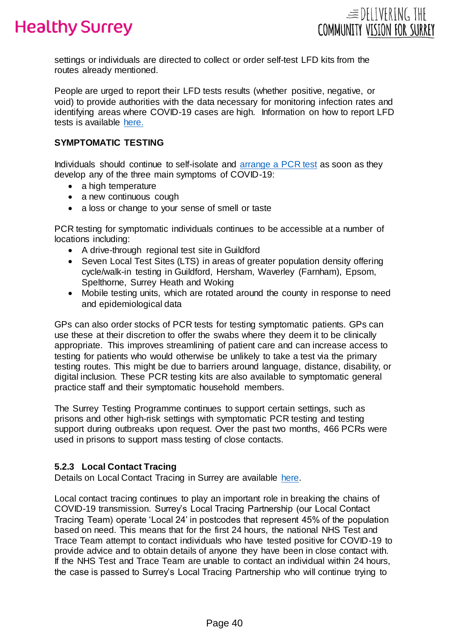



settings or individuals are directed to collect or order self-test LFD kits from the routes already mentioned.

People are urged to report their LFD tests results (whether positive, negative, or void) to provide authorities with the data necessary for monitoring infection rates and identifying areas where COVID-19 cases are high. Information on how to report LFD tests is available [here.](https://www.nhs.uk/conditions/coronavirus-covid-19/testing/test-results/report-a-rapid-lateral-flow-test-result/)

#### **SYMPTOMATIC TESTING**

Individuals should continue to self-isolate and [arrange a PCR test](https://www.gov.uk/get-coronavirus-test) as soon as they develop any of the three main symptoms of COVID-19:

- a high temperature
- a new continuous cough
- a loss or change to your sense of smell or taste

PCR testing for symptomatic individuals continues to be accessible at a number of locations including:

- A drive-through regional test site in Guildford
- Seven Local Test Sites (LTS) in areas of greater population density offering cycle/walk-in testing in Guildford, Hersham, Waverley (Farnham), Epsom, Spelthorne, Surrey Heath and Woking
- Mobile testing units, which are rotated around the county in response to need and epidemiological data

GPs can also order stocks of PCR tests for testing symptomatic patients. GPs can use these at their discretion to offer the swabs where they deem it to be clinically appropriate. This improves streamlining of patient care and can increase access to testing for patients who would otherwise be unlikely to take a test via the primary testing routes. This might be due to barriers around language, distance, disability, or digital inclusion. These PCR testing kits are also available to symptomatic general practice staff and their symptomatic household members.

The Surrey Testing Programme continues to support certain settings, such as prisons and other high-risk settings with symptomatic PCR testing and testing support during outbreaks upon request. Over the past two months, 466 PCRs were used in prisons to support mass testing of close contacts.

#### **5.2.3 Local Contact Tracing**

Details on Local Contact Tracing in Surrey are available [here.](https://www.surreycc.gov.uk/people-and-community/emergency-planning-and-community-safety/coronavirus/testing/nhs-test-and-trace)

Local contact tracing continues to play an important role in breaking the chains of COVID-19 transmission. Surrey's Local Tracing Partnership (our Local Contact Tracing Team) operate 'Local 24' in postcodes that represent 45% of the population based on need. This means that for the first 24 hours, the national NHS Test and Trace Team attempt to contact individuals who have tested positive for COVID-19 to provide advice and to obtain details of anyone they have been in close contact with. If the NHS Test and Trace Team are unable to contact an individual within 24 hours, the case is passed to Surrey's Local Tracing Partnership who will continue trying to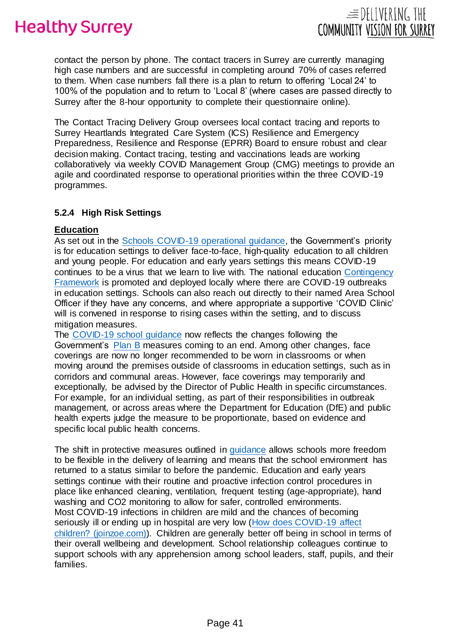

contact the person by phone. The contact tracers in Surrey are currently managing high case numbers and are successful in completing around 70% of cases referred to them. When case numbers fall there is a plan to return to offering 'Local 24' to 100% of the population and to return to 'Local 8' (where cases are passed directly to Surrey after the 8-hour opportunity to complete their questionnaire online).

The Contact Tracing Delivery Group oversees local contact tracing and reports to Surrey Heartlands Integrated Care System (ICS) Resilience and Emergency Preparedness, Resilience and Response (EPRR) Board to ensure robust and clear decision making. Contact tracing, testing and vaccinations leads are working collaboratively via weekly COVID Management Group (CMG) meetings to provide an agile and coordinated response to operational priorities within the three COVID-19 programmes.

## **5.2.4 High Risk Settings**

## **Education**

As set out in the [Schools COVID-19 operational guidance,](https://www.gov.uk/government/publications/actions-for-schools-during-the-coronavirus-outbreak/schools-covid-19-operational-guidance) the Government's priority is for education settings to deliver face-to-face, high-quality education to all children and young people. For education and early years settings this means COVID-19 continues to be a virus that we learn to live with. The national education [Contingency](https://www.gov.uk/government/publications/coronavirus-covid-19-local-restrictions-in-education-and-childcare-settings/contingency-framework-education-and-childcare-settings#measures)  [Framework](https://www.gov.uk/government/publications/coronavirus-covid-19-local-restrictions-in-education-and-childcare-settings/contingency-framework-education-and-childcare-settings#measures) is promoted and deployed locally where there are COVID-19 outbreaks in education settings. Schools can also reach out directly to their named Area School Officer if they have any concerns, and where appropriate a supportive 'COVID Clinic' will is convened in response to rising cases within the setting, and to discuss mitigation measures.

The [COVID-19 school guidance](https://www.gov.uk/government/publications/actions-for-schools-during-the-coronavirus-outbreak) now reflects the changes following the Government's [Plan B](https://www.gov.uk/government/news/prime-minister-confirms-move-to-plan-b-in-england) measures coming to an end. Among other changes, face coverings are now no longer recommended to be worn in classrooms or when moving around the premises outside of classrooms in education settings, such as in corridors and communal areas. However, face coverings may temporarily and exceptionally, be advised by the Director of Public Health in specific circumstances. For example, for an individual setting, as part of their responsibilities in outbreak management, or across areas where the Department for Education (DfE) and public health experts judge the measure to be proportionate, based on evidence and specific local public health concerns.

The shift in protective measures outlined in [guidance](https://www.gov.uk/government/publications/actions-for-schools-during-the-coronavirus-outbreak/schools-covid-19-operational-guidance) allows schools more freedom to be flexible in the delivery of learning and means that the school environment has returned to a status similar to before the pandemic. Education and early years settings continue with their routine and proactive infection control procedures in place like enhanced cleaning, ventilation, frequent testing (age-appropriate), hand washing and CO2 monitoring to allow for safer, controlled environments. Most COVID-19 infections in children are mild and the chances of becoming seriously ill or ending up in hospital are very low [\(How does COVID-19 affect](https://covid.joinzoe.com/post/covid-in-children-webinar)  [children? \(joinzoe.com\)\).](https://covid.joinzoe.com/post/covid-in-children-webinar) Children are generally better off being in school in terms of their overall wellbeing and development. School relationship colleagues continue to support schools with any apprehension among school leaders, staff, pupils, and their families.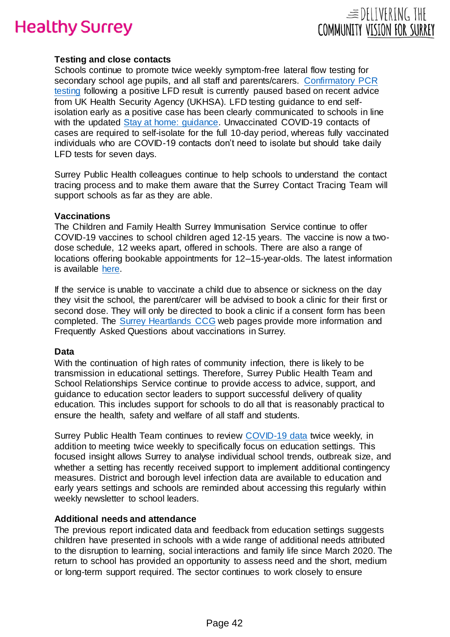

### **Testing and close contacts**

Schools continue to promote twice weekly symptom-free lateral flow testing for secondary school age pupils, and all staff and parents/carers. [Confirmatory PCR](https://www.gov.uk/government/news/confirmatory-pcr-tests-to-be-temporarily-suspended-for-positive-lateral-flow-test-results)  [testing](https://www.gov.uk/government/news/confirmatory-pcr-tests-to-be-temporarily-suspended-for-positive-lateral-flow-test-results) following a positive LFD result is currently paused based on recent advice from UK Health Security Agency (UKHSA). LFD testing guidance to end selfisolation early as a positive case has been clearly communicated to schools in line with the updated [Stay at home: guidance.](https://www.gov.uk/government/publications/covid-19-stay-at-home-guidance/stay-at-home-guidance-for-households-with-possible-coronavirus-covid-19-infection) Unvaccinated COVID-19 contacts of cases are required to self-isolate for the full 10-day period, whereas fully vaccinated individuals who are COVID-19 contacts don't need to isolate but should take daily LFD tests for seven days.

Surrey Public Health colleagues continue to help schools to understand the contact tracing process and to make them aware that the Surrey Contact Tracing Team will support schools as far as they are able.

#### **Vaccinations**

The Children and Family Health Surrey Immunisation Service continue to offer COVID-19 vaccines to school children aged 12-15 years. The vaccine is now a twodose schedule, 12 weeks apart, offered in schools. There are also a range of locations offering bookable appointments for 12–15-year-olds. The latest information is available [here.](https://www.surreyheartlandsccg.nhs.uk/covid-19/covid-19-vaccination-programme/12-to-15-year-old-vaccinations)

If the service is unable to vaccinate a child due to absence or sickness on the day they visit the school, the parent/carer will be advised to book a clinic for their first or second dose. They will only be directed to book a clinic if a consent form has been completed. The [Surrey Heartlands](https://surreyheartlandsccg.nhs.uk/covid-19/coronavirus-covid-19-vaccination-faqs) CCG web pages provide more information and Frequently Asked Questions about vaccinations in Surrey.

#### **Data**

With the continuation of high rates of community infection, there is likely to be transmission in educational settings. Therefore, Surrey Public Health Team and School Relationships Service continue to provide access to advice, support, and guidance to education sector leaders to support successful delivery of quality education. This includes support for schools to do all that is reasonably practical to ensure the health, safety and welfare of all staff and students.

Surrey Public Health Team continues to review [COVID-19 data](https://www.surreycc.gov.uk/community/emergency-planning-and-community-safety/coronavirus/local-outbreak-plan/figures-and-statistics) twice weekly, in addition to meeting twice weekly to specifically focus on education settings. This focused insight allows Surrey to analyse individual school trends, outbreak size, and whether a setting has recently received support to implement additional contingency measures. District and borough level infection data are available to education and early years settings and schools are reminded about accessing this regularly within weekly newsletter to school leaders.

#### **Additional needs and attendance**

The previous report indicated data and feedback from education settings suggests children have presented in schools with a wide range of additional needs attributed to the disruption to learning, social interactions and family life since March 2020. The return to school has provided an opportunity to assess need and the short, medium or long-term support required. The sector continues to work closely to ensure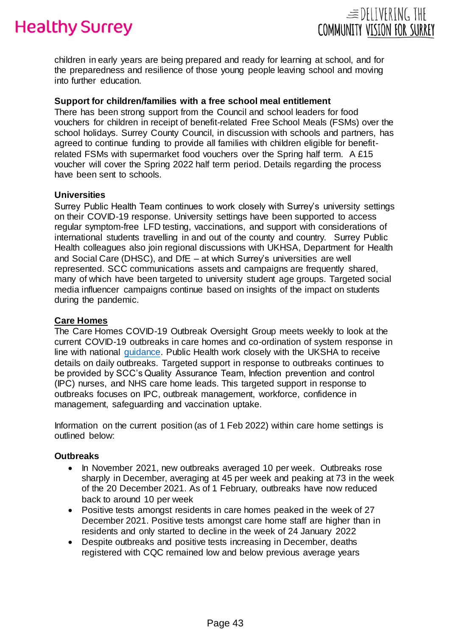

children in early years are being prepared and ready for learning at school, and for the preparedness and resilience of those young people leaving school and moving into further education.

#### **Support for children/families with a free school meal entitlement**

There has been strong support from the Council and school leaders for food vouchers for children in receipt of benefit-related Free School Meals (FSMs) over the school holidays. Surrey County Council, in discussion with schools and partners, has agreed to continue funding to provide all families with children eligible for benefitrelated FSMs with supermarket food vouchers over the Spring half term. A £15 voucher will cover the Spring 2022 half term period. Details regarding the process have been sent to schools.

#### **Universities**

Surrey Public Health Team continues to work closely with Surrey's university settings on their COVID-19 response. University settings have been supported to access regular symptom-free LFD testing, vaccinations, and support with considerations of international students travelling in and out of the county and country. Surrey Public Health colleagues also join regional discussions with UKHSA, Department for Health and Social Care (DHSC), and DfE – at which Surrey's universities are well represented. SCC communications assets and campaigns are frequently shared, many of which have been targeted to university student age groups. Targeted social media influencer campaigns continue based on insights of the impact on students during the pandemic.

#### **Care Homes**

The Care Homes COVID-19 Outbreak Oversight Group meets weekly to look at the current COVID-19 outbreaks in care homes and co-ordination of system response in line with national [guidance.](https://www.gov.uk/government/collections/coronavirus-covid-19-social-care-guidance) Public Health work closely with the UKSHA to receive details on daily outbreaks. Targeted support in response to outbreaks continues to be provided by SCC's Quality Assurance Team, Infection prevention and control (IPC) nurses, and NHS care home leads. This targeted support in response to outbreaks focuses on IPC, outbreak management, workforce, confidence in management, safeguarding and vaccination uptake.

Information on the current position (as of 1 Feb 2022) within care home settings is outlined below:

#### **Outbreaks**

- In November 2021, new outbreaks averaged 10 per week. Outbreaks rose sharply in December, averaging at 45 per week and peaking at 73 in the week of the 20 December 2021. As of 1 February, outbreaks have now reduced back to around 10 per week
- Positive tests amongst residents in care homes peaked in the week of 27 December 2021. Positive tests amongst care home staff are higher than in residents and only started to decline in the week of 24 January 2022
- Despite outbreaks and positive tests increasing in December, deaths registered with CQC remained low and below previous average years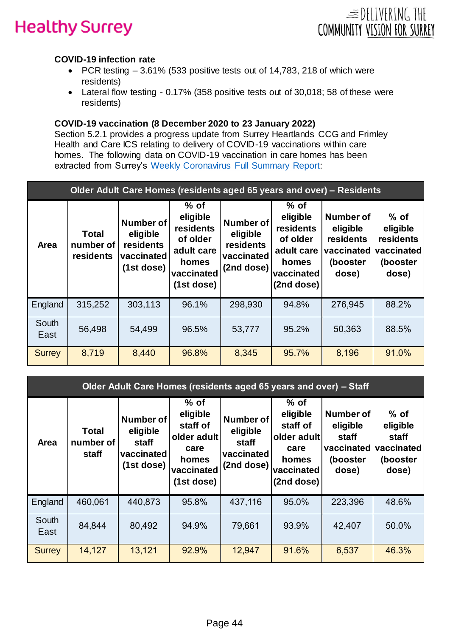

# **COVID-19 infection rate**

- PCR testing  $-3.61\%$  (533 positive tests out of 14,783, 218 of which were residents)
- Lateral flow testing 0.17% (358 positive tests out of 30,018; 58 of these were residents)

# **COVID-19 vaccination (8 December 2020 to 23 January 2022)**

Section 5.2.1 provides a progress update from Surrey Heartlands CCG and Frimley Health and Care ICS relating to delivery of COVID-19 vaccinations within care homes. The following data on COVID-19 vaccination in care homes has been extracted from Surrey's [Weekly Coronavirus Full Summary Report:](https://www.surreycc.gov.uk/people-and-community/emergency-planning-and-community-safety/coronavirus/alert-levels-and-local-outbreak-plan/figures-and-statistics)

| Older Adult Care Homes (residents aged 65 years and over) – Residents |                                        |                                                                       |                                                                                                |                                                                       |                                                                                                |                                                                              |                                                                    |  |
|-----------------------------------------------------------------------|----------------------------------------|-----------------------------------------------------------------------|------------------------------------------------------------------------------------------------|-----------------------------------------------------------------------|------------------------------------------------------------------------------------------------|------------------------------------------------------------------------------|--------------------------------------------------------------------|--|
| <b>Area</b>                                                           | <b>Total</b><br>number of<br>residents | <b>Number of</b><br>eligible<br>residents<br>vaccinated<br>(1st dose) | $%$ of<br>eligible<br>residents<br>of older<br>adult care<br>homes<br>vaccinated<br>(1st dose) | <b>Number of</b><br>eligible<br>residents<br>vaccinated<br>(2nd dose) | $%$ of<br>eligible<br>residents<br>of older<br>adult care<br>homes<br>vaccinated<br>(2nd dose) | <b>Number of</b><br>eligible<br>residents<br>vaccinated<br>(booster<br>dose) | $%$ of<br>eligible<br>residents<br>vaccinated<br>(booster<br>dose) |  |
| England                                                               | 315,252                                | 303,113                                                               | 96.1%                                                                                          | 298,930                                                               | 94.8%                                                                                          | 276,945                                                                      | 88.2%                                                              |  |
| South<br>East                                                         | 56,498                                 | 54,499                                                                | 96.5%                                                                                          | 53,777                                                                | 95.2%                                                                                          | 50,363                                                                       | 88.5%                                                              |  |
| <b>Surrey</b>                                                         | 8,719                                  | 8,440                                                                 | 96.8%                                                                                          | 8,345                                                                 | 95.7%                                                                                          | 8,196                                                                        | 91.0%                                                              |  |

| Older Adult Care Homes (residents aged 65 years and over) - Staff |                             |                                                                   |                                                                                            |                                                                   |                                                                                            |                                                                          |                                                                |  |
|-------------------------------------------------------------------|-----------------------------|-------------------------------------------------------------------|--------------------------------------------------------------------------------------------|-------------------------------------------------------------------|--------------------------------------------------------------------------------------------|--------------------------------------------------------------------------|----------------------------------------------------------------|--|
| Area                                                              | Total<br>number of<br>staff | <b>Number of</b><br>eligible<br>staff<br>vaccinated<br>(1st dose) | $%$ of<br>eligible<br>staff of<br>older adult<br>care<br>homes<br>vaccinated<br>(1st dose) | <b>Number of</b><br>eligible<br>staff<br>vaccinated<br>(2nd dose) | $%$ of<br>eligible<br>staff of<br>older adult<br>care<br>homes<br>vaccinated<br>(2nd dose) | <b>Number of</b><br>eligible<br>staff<br>vaccinated<br>(booster<br>dose) | $%$ of<br>eligible<br>staff<br>vaccinated<br>(booster<br>dose) |  |
| England                                                           | 460,061                     | 440,873                                                           | 95.8%                                                                                      | 437,116                                                           | 95.0%                                                                                      | 223,396                                                                  | 48.6%                                                          |  |
| South<br>East                                                     | 84,844                      | 80,492                                                            | 94.9%                                                                                      | 79,661                                                            | 93.9%                                                                                      | 42,407                                                                   | 50.0%                                                          |  |
| <b>Surrey</b>                                                     | 14,127                      | 13,121                                                            | 92.9%                                                                                      | 12,947                                                            | 91.6%                                                                                      | 6,537                                                                    | 46.3%                                                          |  |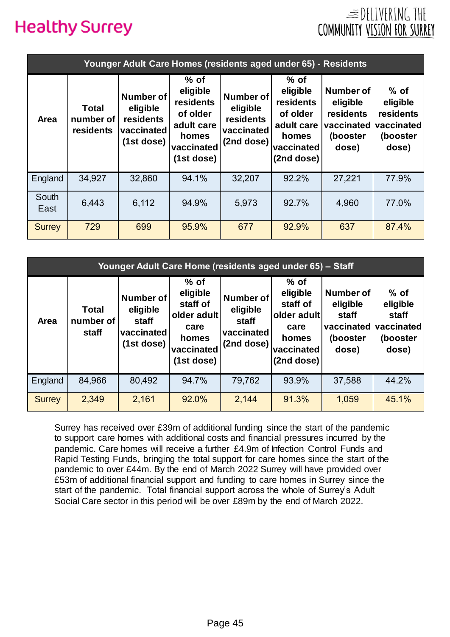

| Younger Adult Care Homes (residents aged under 65) - Residents |                                        |                                                                       |                                                                                                       |                                                                       |                                                                                                |                                                                              |                                                                    |  |
|----------------------------------------------------------------|----------------------------------------|-----------------------------------------------------------------------|-------------------------------------------------------------------------------------------------------|-----------------------------------------------------------------------|------------------------------------------------------------------------------------------------|------------------------------------------------------------------------------|--------------------------------------------------------------------|--|
| Area                                                           | <b>Total</b><br>number of<br>residents | <b>Number of</b><br>eligible<br>residents<br>vaccinated<br>(1st dose) | $%$ of<br>eligible<br><b>residents</b><br>of older<br>adult care<br>homes<br>vaccinated<br>(1st dose) | <b>Number of</b><br>eligible<br>residents<br>vaccinated<br>(2nd dose) | $%$ of<br>eligible<br>residents<br>of older<br>adult care<br>homes<br>vaccinated<br>(2nd dose) | <b>Number of</b><br>eligible<br>residents<br>vaccinated<br>(booster<br>dose) | $%$ of<br>eligible<br>residents<br>vaccinated<br>(booster<br>dose) |  |
| England                                                        | 34,927                                 | 32,860                                                                | 94.1%                                                                                                 | 32,207                                                                | 92.2%                                                                                          | 27,221                                                                       | 77.9%                                                              |  |
| South<br>East                                                  | 6,443                                  | 6,112                                                                 | 94.9%                                                                                                 | 5,973                                                                 | 92.7%                                                                                          | 4,960                                                                        | 77.0%                                                              |  |
| <b>Surrey</b>                                                  | 729                                    | 699                                                                   | 95.9%                                                                                                 | 677                                                                   | 92.9%                                                                                          | 637                                                                          | 87.4%                                                              |  |

| Younger Adult Care Home (residents aged under 65) - Staff |                                    |                                                            |                                                                                            |                                                                   |                                                                                            |                                                                                     |                                                  |  |
|-----------------------------------------------------------|------------------------------------|------------------------------------------------------------|--------------------------------------------------------------------------------------------|-------------------------------------------------------------------|--------------------------------------------------------------------------------------------|-------------------------------------------------------------------------------------|--------------------------------------------------|--|
| <b>Area</b>                                               | <b>Total</b><br>number of<br>staff | Number of<br>eligible<br>staff<br>vaccinated<br>(1st dose) | $%$ of<br>eligible<br>staff of<br>older adult<br>care<br>homes<br>vaccinated<br>(1st dose) | <b>Number of</b><br>eligible<br>staff<br>vaccinated<br>(2nd dose) | $%$ of<br>eligible<br>staff of<br>older adult<br>care<br>homes<br>vaccinated<br>(2nd dose) | <b>Number of</b><br>eligible<br>staff<br>vaccinated vaccinated<br>(booster<br>dose) | $%$ of<br>eligible<br>staff<br>(booster<br>dose) |  |
| England                                                   | 84,966                             | 80,492                                                     | 94.7%                                                                                      | 79,762                                                            | 93.9%                                                                                      | 37,588                                                                              | 44.2%                                            |  |
| <b>Surrey</b>                                             | 2,349                              | 2,161                                                      | 92.0%                                                                                      | 2,144                                                             | 91.3%                                                                                      | 1,059                                                                               | 45.1%                                            |  |

Surrey has received over £39m of additional funding since the start of the pandemic to support care homes with additional costs and financial pressures incurred by the pandemic. Care homes will receive a further £4.9m of Infection Control Funds and Rapid Testing Funds, bringing the total support for care homes since the start of the pandemic to over £44m. By the end of March 2022 Surrey will have provided over £53m of additional financial support and funding to care homes in Surrey since the start of the pandemic. Total financial support across the whole of Surrey's Adult Social Care sector in this period will be over £89m by the end of March 2022.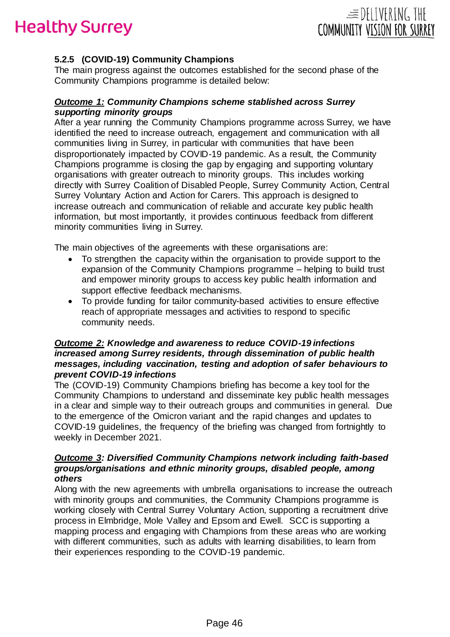



### **5.2.5 (COVID-19) Community Champions**

The main progress against the outcomes established for the second phase of the Community Champions programme is detailed below:

#### *Outcome 1: Community Champions scheme stablished across Surrey supporting minority groups*

After a year running the Community Champions programme across Surrey, we have identified the need to increase outreach, engagement and communication with all communities living in Surrey, in particular with communities that have been disproportionately impacted by COVID-19 pandemic. As a result, the Community Champions programme is closing the gap by engaging and supporting voluntary organisations with greater outreach to minority groups. This includes working directly with Surrey Coalition of Disabled People, Surrey Community Action, Central Surrey Voluntary Action and Action for Carers. This approach is designed to increase outreach and communication of reliable and accurate key public health information, but most importantly, it provides continuous feedback from different minority communities living in Surrey.

The main objectives of the agreements with these organisations are:

- To strengthen the capacity within the organisation to provide support to the expansion of the Community Champions programme – helping to build trust and empower minority groups to access key public health information and support effective feedback mechanisms.
- To provide funding for tailor community-based activities to ensure effective reach of appropriate messages and activities to respond to specific community needs.

#### *Outcome 2: Knowledge and awareness to reduce COVID-19 infections increased among Surrey residents, through dissemination of public health messages, including vaccination, testing and adoption of safer behaviours to prevent COVID-19 infections*

The (COVID-19) Community Champions briefing has become a key tool for the Community Champions to understand and disseminate key public health messages in a clear and simple way to their outreach groups and communities in general. Due to the emergence of the Omicron variant and the rapid changes and updates to COVID-19 guidelines, the frequency of the briefing was changed from fortnightly to weekly in December 2021.

#### *Outcome 3: Diversified Community Champions network including faith-based groups/organisations and ethnic minority groups, disabled people, among others*

Along with the new agreements with umbrella organisations to increase the outreach with minority groups and communities, the Community Champions programme is working closely with Central Surrey Voluntary Action, supporting a recruitment drive process in Elmbridge, Mole Valley and Epsom and Ewell. SCC is supporting a mapping process and engaging with Champions from these areas who are working with different communities, such as adults with learning disabilities, to learn from their experiences responding to the COVID-19 pandemic.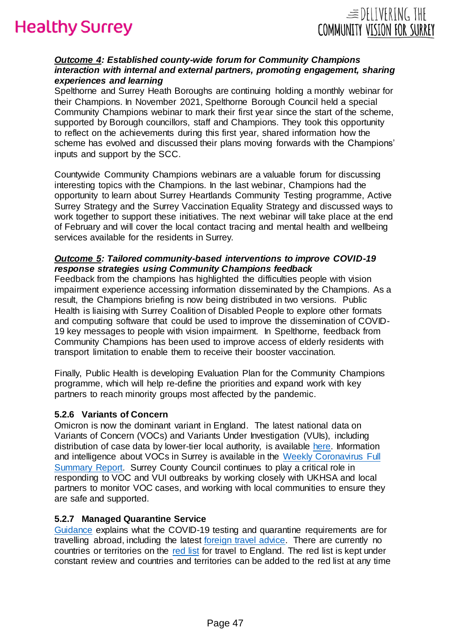

### *Outcome 4: Established county-wide forum for Community Champions interaction with internal and external partners, promoting engagement, sharing experiences and learning*

Spelthorne and Surrey Heath Boroughs are continuing holding a monthly webinar for their Champions. In November 2021, Spelthorne Borough Council held a special Community Champions webinar to mark their first year since the start of the scheme, supported by Borough councillors, staff and Champions. They took this opportunity to reflect on the achievements during this first year, shared information how the scheme has evolved and discussed their plans moving forwards with the Champions' inputs and support by the SCC.

Countywide Community Champions webinars are a valuable forum for discussing interesting topics with the Champions. In the last webinar, Champions had the opportunity to learn about Surrey Heartlands Community Testing programme, Active Surrey Strategy and the Surrey Vaccination Equality Strategy and discussed ways to work together to support these initiatives. The next webinar will take place at the end of February and will cover the local contact tracing and mental health and wellbeing services available for the residents in Surrey.

#### *Outcome 5: Tailored community-based interventions to improve COVID-19 response strategies using Community Champions feedback*

Feedback from the champions has highlighted the difficulties people with vision impairment experience accessing information disseminated by the Champions. As a result, the Champions briefing is now being distributed in two versions. Public Health is liaising with Surrey Coalition of Disabled People to explore other formats and computing software that could be used to improve the dissemination of COVID-19 key messages to people with vision impairment. In Spelthorne, feedback from Community Champions has been used to improve access of elderly residents with transport limitation to enable them to receive their booster vaccination.

Finally, Public Health is developing Evaluation Plan for the Community Champions programme, which will help re-define the priorities and expand work with key partners to reach minority groups most affected by the pandemic.

#### **5.2.6 Variants of Concern**

Omicron is now the dominant variant in England. The latest national data on Variants of Concern (VOCs) and Variants Under Investigation (VUIs), including distribution of case data by lower-tier local authority, is available [here.](https://www.gov.uk/government/publications/covid-19-variants-genomically-confirmed-case-numbers/variants-distribution-of-case-data-27-may-2021) Information and intelligence about VOCs in Surrey is available in the [Weekly Coronavirus Full](https://www.surreycc.gov.uk/people-and-community/emergency-planning-and-community-safety/coronavirus/alert-levels-and-local-outbreak-plan/figures-and-statistics)  [Summary Report.](https://www.surreycc.gov.uk/people-and-community/emergency-planning-and-community-safety/coronavirus/alert-levels-and-local-outbreak-plan/figures-and-statistics) Surrey County Council continues to play a critical role in responding to VOC and VUI outbreaks by working closely with UKHSA and local partners to monitor VOC cases, and working with local communities to ensure they are safe and supported.

#### **5.2.7 Managed Quarantine Service**

[Guidance](https://www.gov.uk/travel-abroad) explains what the COVID-19 testing and quarantine requirements are for travelling abroad, including the latest [foreign travel advice.](https://www.gov.uk/foreign-travel-advice) There are currently no countries or territories on the [red list](https://www.gov.uk/guidance/red-list-of-countries-and-territories) for travel to England. The red list is kept under constant review and countries and territories can be added to the red list at any time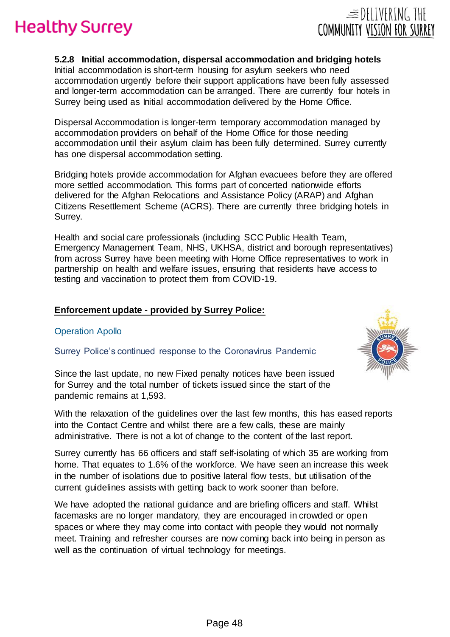

## **5.2.8 Initial accommodation, dispersal accommodation and bridging hotels**

Initial accommodation is short-term housing for asylum seekers who need accommodation urgently before their support applications have been fully assessed and longer-term accommodation can be arranged. There are currently four hotels in Surrey being used as Initial accommodation delivered by the Home Office.

Dispersal Accommodation is longer-term temporary accommodation managed by accommodation providers on behalf of the Home Office for those needing accommodation until their asylum claim has been fully determined. Surrey currently has one dispersal accommodation setting.

Bridging hotels provide accommodation for Afghan evacuees before they are offered more settled accommodation. This forms part of concerted nationwide efforts delivered for the Afghan Relocations and Assistance Policy (ARAP) and Afghan Citizens Resettlement Scheme (ACRS). There are currently three bridging hotels in Surrey.

Health and social care professionals (including SCC Public Health Team, Emergency Management Team, NHS, UKHSA, district and borough representatives) from across Surrey have been meeting with Home Office representatives to work in partnership on health and welfare issues, ensuring that residents have access to testing and vaccination to protect them from COVID-19.

## **Enforcement update - provided by Surrey Police:**

## Operation Apollo

Surrey Police's continued response to the Coronavirus Pandemic

Since the last update, no new Fixed penalty notices have been issued for Surrey and the total number of tickets issued since the start of the pandemic remains at 1,593.

With the relaxation of the guidelines over the last few months, this has eased reports into the Contact Centre and whilst there are a few calls, these are mainly administrative. There is not a lot of change to the content of the last report.

Surrey currently has 66 officers and staff self-isolating of which 35 are working from home. That equates to 1.6% of the workforce. We have seen an increase this week in the number of isolations due to positive lateral flow tests, but utilisation of the current guidelines assists with getting back to work sooner than before.

We have adopted the national guidance and are briefing officers and staff. Whilst facemasks are no longer mandatory, they are encouraged in crowded or open spaces or where they may come into contact with people they would not normally meet. Training and refresher courses are now coming back into being in person as well as the continuation of virtual technology for meetings.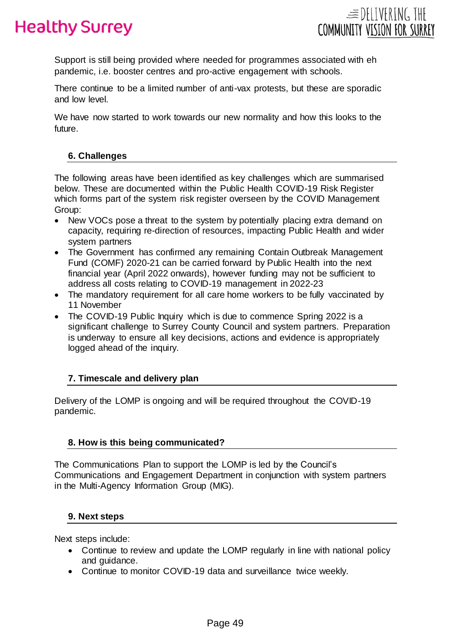

Support is still being provided where needed for programmes associated with eh pandemic, i.e. booster centres and pro-active engagement with schools.

There continue to be a limited number of anti-vax protests, but these are sporadic and low level.

We have now started to work towards our new normality and how this looks to the future.

### **6. Challenges**

The following areas have been identified as key challenges which are summarised below. These are documented within the Public Health COVID-19 Risk Register which forms part of the system risk register overseen by the COVID Management Group:

- New VOCs pose a threat to the system by potentially placing extra demand on capacity, requiring re-direction of resources, impacting Public Health and wider system partners
- The Government has confirmed any remaining Contain Outbreak Management Fund (COMF) 2020-21 can be carried forward by Public Health into the next financial year (April 2022 onwards), however funding may not be sufficient to address all costs relating to COVID-19 management in 2022-23
- The mandatory requirement for all care home workers to be fully vaccinated by 11 November
- The COVID-19 Public Inquiry which is due to commence Spring 2022 is a significant challenge to Surrey County Council and system partners. Preparation is underway to ensure all key decisions, actions and evidence is appropriately logged ahead of the inquiry.

## **7. Timescale and delivery plan**

Delivery of the LOMP is ongoing and will be required throughout the COVID-19 pandemic.

## **8. How is this being communicated?**

The Communications Plan to support the LOMP is led by the Council's Communications and Engagement Department in conjunction with system partners in the Multi-Agency Information Group (MIG).

## **9. Next steps**

Next steps include:

- Continue to review and update the LOMP regularly in line with national policy and guidance.
- Continue to monitor COVID-19 data and surveillance twice weekly.